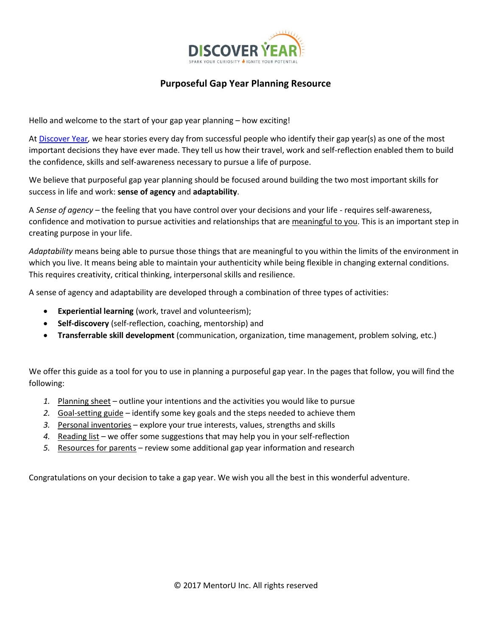

### **Purposeful Gap Year Planning Resource**

Hello and welcome to the start of your gap year planning – how exciting!

A[t Discover Year](http://www.discoveryear.ca/)*,* we hear stories every day from successful people who identify their gap year(s) as one of the most important decisions they have ever made. They tell us how their travel, work and self-reflection enabled them to build the confidence, skills and self-awareness necessary to pursue a life of purpose.

We believe that purposeful gap year planning should be focused around building the two most important skills for success in life and work: **sense of agency** and **adaptability**.

A *Sense of agency* – the feeling that you have control over your decisions and your life - requires self-awareness, confidence and motivation to pursue activities and relationships that are meaningful to you. This is an important step in creating purpose in your life.

*Adaptability* means being able to pursue those things that are meaningful to you within the limits of the environment in which you live. It means being able to maintain your authenticity while being flexible in changing external conditions. This requires creativity, critical thinking, interpersonal skills and resilience.

A sense of agency and adaptability are developed through a combination of three types of activities:

- **Experiential learning** (work, travel and volunteerism);
- **Self-discovery** (self-reflection, coaching, mentorship) and
- **Transferrable skill development** (communication, organization, time management, problem solving, etc.)

We offer this guide as a tool for you to use in planning a purposeful gap year. In the pages that follow, you will find the following:

- *1.* Planning sheet outline your intentions and the activities you would like to pursue
- *2.* Goal-setting guide identify some key goals and the steps needed to achieve them
- *3.* Personal inventories explore your true interests, values, strengths and skills
- *4.* Reading list we offer some suggestions that may help you in your self-reflection
- *5.* Resources for parents review some additional gap year information and research

Congratulations on your decision to take a gap year. We wish you all the best in this wonderful adventure.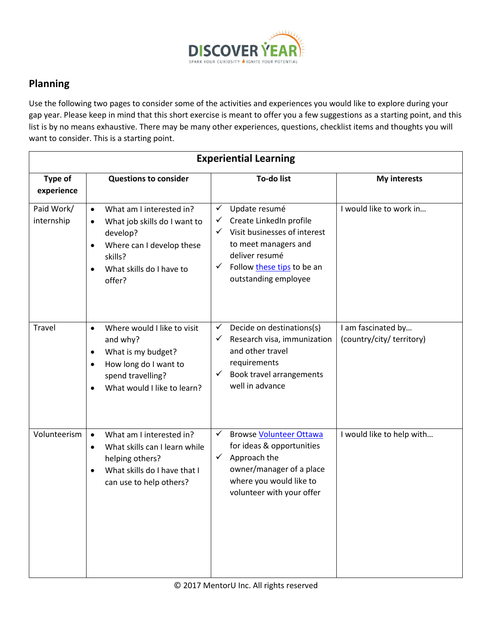

# **Planning**

Use the following two pages to consider some of the activities and experiences you would like to explore during your gap year. Please keep in mind that this short exercise is meant to offer you a few suggestions as a starting point, and this list is by no means exhaustive. There may be many other experiences, questions, checklist items and thoughts you will want to consider. This is a starting point.

| <b>Experiential Learning</b> |                                                                                                                                                                                                        |                                                                                                                                                                                                                               |                                                 |  |
|------------------------------|--------------------------------------------------------------------------------------------------------------------------------------------------------------------------------------------------------|-------------------------------------------------------------------------------------------------------------------------------------------------------------------------------------------------------------------------------|-------------------------------------------------|--|
| Type of<br>experience        | <b>Questions to consider</b>                                                                                                                                                                           | To-do list                                                                                                                                                                                                                    | <b>My interests</b>                             |  |
| Paid Work/<br>internship     | What am I interested in?<br>$\bullet$<br>What job skills do I want to<br>$\bullet$<br>develop?<br>Where can I develop these<br>$\bullet$<br>skills?<br>What skills do I have to<br>$\bullet$<br>offer? | Update resumé<br>✓<br>Create LinkedIn profile<br>$\checkmark$<br>Visit businesses of interest<br>$\checkmark$<br>to meet managers and<br>deliver resumé<br>Follow these tips to be an<br>$\checkmark$<br>outstanding employee | I would like to work in                         |  |
| Travel                       | Where would I like to visit<br>$\bullet$<br>and why?<br>What is my budget?<br>$\bullet$<br>How long do I want to<br>$\bullet$<br>spend travelling?<br>What would I like to learn?<br>$\bullet$         | $\checkmark$<br>Decide on destinations(s)<br>Research visa, immunization<br>✓<br>and other travel<br>requirements<br>Book travel arrangements<br>$\checkmark$<br>well in advance                                              | I am fascinated by<br>(country/city/ territory) |  |
| Volunteerism                 | What am I interested in?<br>$\bullet$<br>What skills can I learn while<br>$\bullet$<br>helping others?<br>What skills do I have that I<br>$\bullet$<br>can use to help others?                         | $\checkmark$<br><b>Browse Volunteer Ottawa</b><br>for ideas & opportunities<br>$\checkmark$<br>Approach the<br>owner/manager of a place<br>where you would like to<br>volunteer with your offer                               | I would like to help with                       |  |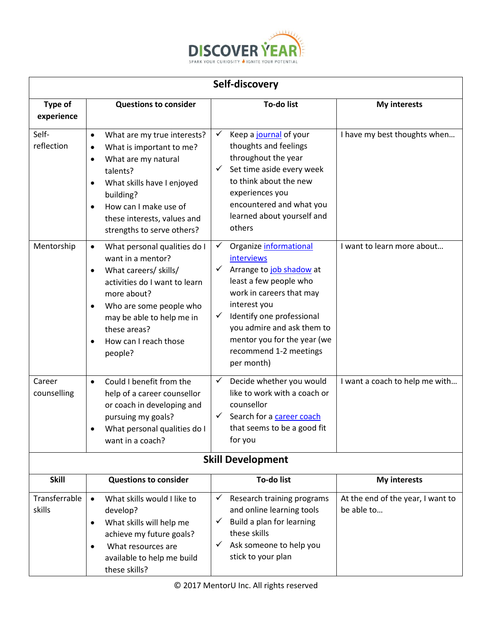

| Self-discovery          |                                                                                                                                                                                                                                                                                              |                                                                                                                                                                                                                                                                                                                          |                                                 |  |
|-------------------------|----------------------------------------------------------------------------------------------------------------------------------------------------------------------------------------------------------------------------------------------------------------------------------------------|--------------------------------------------------------------------------------------------------------------------------------------------------------------------------------------------------------------------------------------------------------------------------------------------------------------------------|-------------------------------------------------|--|
| Type of<br>experience   | <b>Questions to consider</b>                                                                                                                                                                                                                                                                 | To-do list                                                                                                                                                                                                                                                                                                               | <b>My interests</b>                             |  |
| Self-<br>reflection     | What are my true interests?<br>$\bullet$<br>What is important to me?<br>$\bullet$<br>What are my natural<br>$\bullet$<br>talents?<br>What skills have I enjoyed<br>$\bullet$<br>building?<br>How can I make use of<br>$\bullet$<br>these interests, values and<br>strengths to serve others? | Keep a journal of your<br>$\checkmark$<br>thoughts and feelings<br>throughout the year<br>$\checkmark$<br>Set time aside every week<br>to think about the new<br>experiences you<br>encountered and what you<br>learned about yourself and<br>others                                                                     | I have my best thoughts when                    |  |
| Mentorship              | What personal qualities do I<br>$\bullet$<br>want in a mentor?<br>What careers/ skills/<br>$\bullet$<br>activities do I want to learn<br>more about?<br>Who are some people who<br>$\bullet$<br>may be able to help me in<br>these areas?<br>How can I reach those<br>$\bullet$<br>people?   | $\checkmark$<br>Organize informational<br>interviews<br>Arrange to job shadow at<br>$\checkmark$<br>least a few people who<br>work in careers that may<br>interest you<br>Identify one professional<br>$\checkmark$<br>you admire and ask them to<br>mentor you for the year (we<br>recommend 1-2 meetings<br>per month) | I want to learn more about                      |  |
| Career<br>counselling   | Could I benefit from the<br>$\bullet$<br>help of a career counsellor<br>or coach in developing and<br>pursuing my goals?<br>What personal qualities do I<br>$\bullet$<br>want in a coach?                                                                                                    | $\checkmark$<br>Decide whether you would<br>like to work with a coach or<br>counsellor<br>$\checkmark$<br>Search for a career coach<br>that seems to be a good fit<br>for you                                                                                                                                            | I want a coach to help me with                  |  |
|                         |                                                                                                                                                                                                                                                                                              | <b>Skill Development</b>                                                                                                                                                                                                                                                                                                 |                                                 |  |
| <b>Skill</b>            | <b>Questions to consider</b>                                                                                                                                                                                                                                                                 | To-do list                                                                                                                                                                                                                                                                                                               | <b>My interests</b>                             |  |
| Transferrable<br>skills | What skills would I like to<br>$\bullet$<br>develop?<br>What skills will help me<br>$\bullet$<br>achieve my future goals?<br>What resources are<br>$\bullet$<br>available to help me build<br>these skills?                                                                                  | $\checkmark$<br>Research training programs<br>and online learning tools<br>Build a plan for learning<br>$\checkmark$<br>these skills<br>Ask someone to help you<br>✓<br>stick to your plan                                                                                                                               | At the end of the year, I want to<br>be able to |  |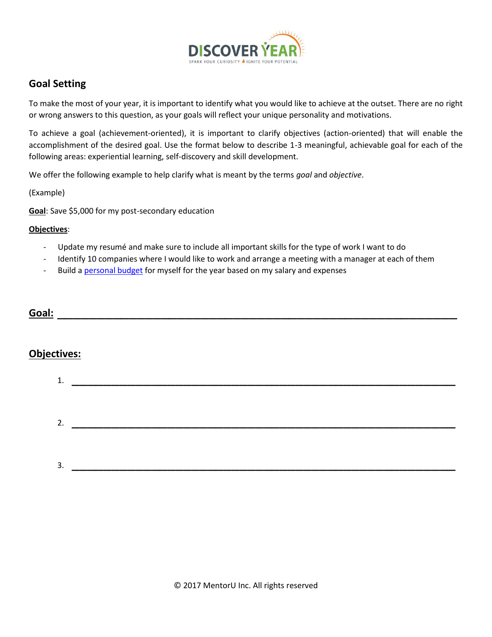

# **Goal Setting**

To make the most of your year, it is important to identify what you would like to achieve at the outset. There are no right or wrong answers to this question, as your goals will reflect your unique personality and motivations.

To achieve a goal (achievement-oriented), it is important to clarify objectives (action-oriented) that will enable the accomplishment of the desired goal. Use the format below to describe 1-3 meaningful, achievable goal for each of the following areas: experiential learning, self-discovery and skill development.

We offer the following example to help clarify what is meant by the terms *goal* and *objective*.

(Example)

**Goal**: Save \$5,000 for my post-secondary education

#### **Objectives**:

- Update my resumé and make sure to include all important skills for the type of work I want to do
- Identify 10 companies where I would like to work and arrange a meeting with a manager at each of them
- Build a [personal budget](http://www.scotiabank.com/ca/en/0,,7108,00.html) for myself for the year based on my salary and expenses

# **Goal:** \_\_\_\_\_\_\_\_\_\_\_\_\_\_\_\_\_\_\_\_\_\_\_\_\_\_\_\_\_\_\_\_\_\_\_\_\_\_\_\_\_\_\_\_\_\_\_\_\_\_

### **Objectives:**

| 1. |  |
|----|--|
|    |  |
|    |  |
| 2. |  |
|    |  |
|    |  |
| 3. |  |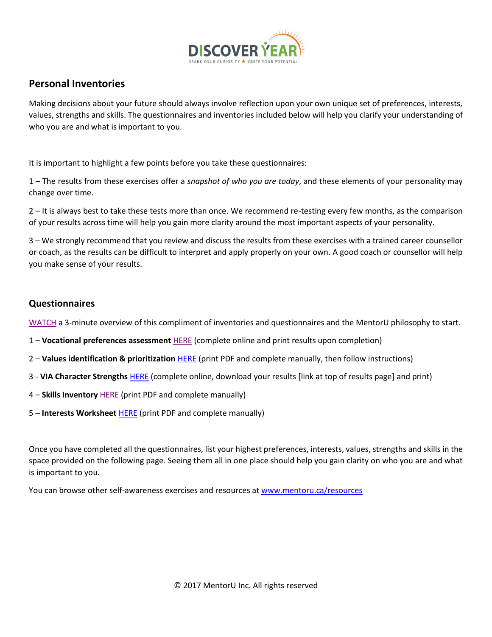

### **Personal Inventories**

Making decisions about your future should always involve reflection upon your own unique set of preferences, interests, values, strengths and skills. The questionnaires and inventories included below will help you clarify your understanding of who you are and what is important to you.

It is important to highlight a few points before you take these questionnaires:

1 – The results from these exercises offer a *snapshot of who you are today*, and these elements of your personality may change over time.

2 – It is always best to take these tests more than once. We recommend re-testing every few months, as the comparison of your results across time will help you gain more clarity around the most important aspects of your personality.

3 – We strongly recommend that you review and discuss the results from these exercises with a trained career counsellor or coach, as the results can be difficult to interpret and apply properly on your own. A good coach or counsellor will help you make sense of your results.

### **Questionnaires**

[WATCH](https://www.mentoru.ca/resources) a 3-minute overview of this compliment of inventories and questionnaires and the MentorU philosophy to start.

- 1 **Vocational preferences assessment** [HERE](https://www.mentoru.ca/vocational-preferences) (complete online and print results upon completion)
- 2 **Values identification & prioritization** [HERE](https://www.mentoru.ca/values-prioritization) (print PDF and complete manually, then follow instructions)
- 3 **VIA Character Strengths** [HERE](https://www.mentoru.ca/character-strengths) (complete online, download your results [link at top of results page] and print)
- 4 **Skills Inventory** [HERE](https://www.mentoru.ca/skills-inventory) (print PDF and complete manually)
- 5 **Interests Worksheet** [HERE](https://www.mentoru.ca/interests) (print PDF and complete manually)

Once you have completed all the questionnaires, list your highest preferences, interests, values, strengths and skills in the space provided on the following page. Seeing them all in one place should help you gain clarity on who you are and what is important to you.

You can browse other self-awareness exercises and resources at [www.mentoru.ca/resources](http://www.mentoru.ca/resources)

© 2017 MentorU Inc. All rights reserved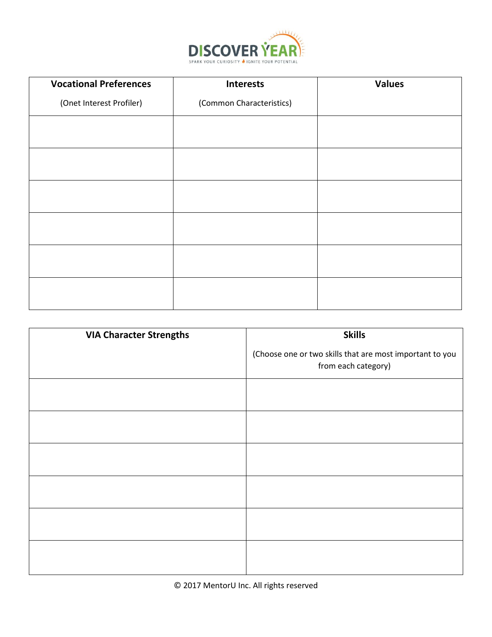

| <b>Vocational Preferences</b> | <b>Interests</b>         | <b>Values</b> |
|-------------------------------|--------------------------|---------------|
| (Onet Interest Profiler)      | (Common Characteristics) |               |
|                               |                          |               |
|                               |                          |               |
|                               |                          |               |
|                               |                          |               |
|                               |                          |               |
|                               |                          |               |
|                               |                          |               |
|                               |                          |               |
|                               |                          |               |
|                               |                          |               |
|                               |                          |               |

| <b>VIA Character Strengths</b> | <b>Skills</b>                                                                   |
|--------------------------------|---------------------------------------------------------------------------------|
|                                | (Choose one or two skills that are most important to you<br>from each category) |
|                                |                                                                                 |
|                                |                                                                                 |
|                                |                                                                                 |
|                                |                                                                                 |
|                                |                                                                                 |
|                                |                                                                                 |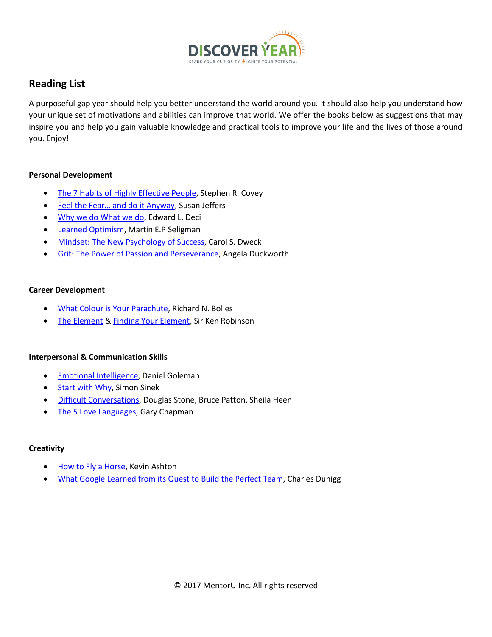

# **Reading List**

A purposeful gap year should help you better understand the world around you. It should also help you understand how your unique set of motivations and abilities can improve that world. We offer the books below as suggestions that may inspire you and help you gain valuable knowledge and practical tools to improve your life and the lives of those around you. Enjoy!

#### **Personal Development**

- [The 7 Habits of Highly Effective People,](https://www.amazon.ca/Habits-Highly-Effective-People-Powerful/dp/1451639619/ref=sr_1_1?ie=UTF8&qid=1501097659&sr=8-1&keywords=7+habits+of+highly+effective+people) Stephen R. Covey
- [Feel the Fear… and do it Anyway](https://www.amazon.ca/Feel-Fear-Anyway-Techniques-Indecision/dp/0345487427/ref=sr_1_1?s=books&ie=UTF8&qid=1501098105&sr=1-1&keywords=feel+the+fear), Susan Jeffers
- [Why we do What we do,](https://www.amazon.ca/Why-We-What-Understanding-Self-Motivation/dp/0140255265/ref=sr_1_1?s=books&ie=UTF8&qid=1501098337&sr=1-1&keywords=Why+we+do+what+we+do) Edward L. Deci
- **[Learned Optimism,](https://www.amazon.ca/Learned-Optimism-Change-Your-Mind/dp/1400078393/ref=sr_1_1?s=books&ie=UTF8&qid=1501098672&sr=1-1&keywords=learned+optimism) Martin E.P Seligman**
- **[Mindset: The New Psychology of Success,](https://www.amazon.ca/Mindset-Psychology-Carol-S-Dweck/dp/0345472322/ref=sr_1_1?s=books&ie=UTF8&qid=1501098697&sr=1-1&keywords=growth+mindset) Carol S. Dweck**
- [Grit: The Power of Passion and Perseverance,](https://www.amazon.ca/Grit-Passion-Perseverance-Angela-Duckworth/dp/1501111108) Angela Duckworth

#### **Career Development**

- [What Colour is Your Parachute,](https://www.amazon.ca/What-Color-Your-Parachute-2017/dp/039957820X/ref=sr_1_1?s=books&ie=UTF8&qid=1501098046&sr=1-1&keywords=what+colour+is+your+parachute+2017) Richard N. Bolles
- [The Element](https://www.amazon.ca/Element-Finding-Passion-Changes-Everything/dp/0143116738/ref=sr_1_1?ie=UTF8&qid=1501097944&sr=8-1&keywords=the+element) [& Finding Your Element,](https://www.amazon.ca/Finding-Your-Element-Discover-Transform/dp/0143125516/ref=pd_bxgy_14_img_2?_encoding=UTF8&psc=1&refRID=J9Q6XSJDF5F8C41HWZ73) Sir Ken Robinson

#### **Interpersonal & Communication Skills**

- [Emotional Intelligence,](https://www.amazon.ca/Emotional-Intelligence-Matter-More-Than-ebook/dp/B000JMKVCG/ref=sr_1_1?s=books&ie=UTF8&qid=1501098208&sr=1-1&keywords=emotional+intelligence) Daniel Goleman
- [Start with Why,](https://www.amazon.ca/Start-Why-Leaders-Inspire-Everyone/dp/1591846447/ref=sr_1_1?s=books&ie=UTF8&qid=1501098372&sr=1-1&keywords=start+with+why) Simon Sinek
- [Difficult Conversations,](https://www.amazon.ca/Difficult-Conversations-Discuss-What-Matters-ebook/dp/B004CR6ALA/ref=sr_1_1?s=books&ie=UTF8&qid=1501098266&sr=1-1&keywords=difficult+conversations) Douglas Stone, Bruce Patton, Sheila Heen
- [The 5 Love Languages,](https://www.amazon.ca/Love-Languages-Secret-that-Lasts-ebook/dp/B00OICLVBI/ref=sr_1_1?s=books&ie=UTF8&qid=1501098491&sr=1-1&keywords=the+5+love+languages) Gary Chapman

#### **Creativity**

- [How to Fly a Horse,](https://www.amazon.ca/How-Fly-Horse-Invention-Discovery-ebook/dp/B00M60RKUK/ref=sr_1_2?s=books&ie=UTF8&qid=1501098422&sr=1-2&keywords=how+to+fly+a+horse) Kevin Ashton
- [What Google Learned from its Quest to Build the Perfect Team,](https://www.nytimes.com/2016/02/28/magazine/what-google-learned-from-its-quest-to-build-the-perfect-team.html) Charles Duhigg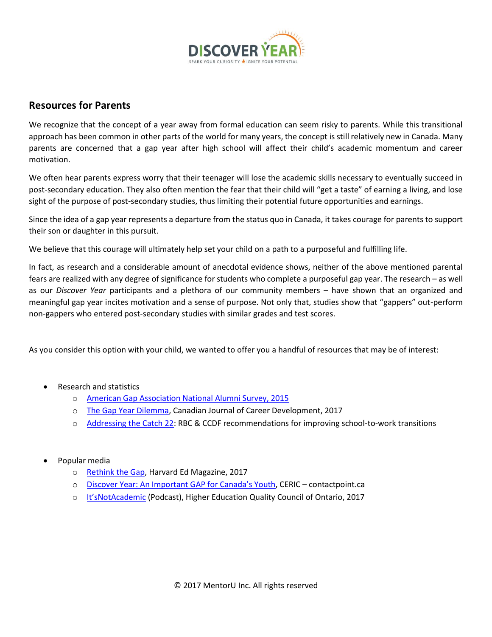

### **Resources for Parents**

We recognize that the concept of a year away from formal education can seem risky to parents. While this transitional approach has been common in other parts of the world for many years, the concept is still relatively new in Canada. Many parents are concerned that a gap year after high school will affect their child's academic momentum and career motivation.

We often hear parents express worry that their teenager will lose the academic skills necessary to eventually succeed in post-secondary education. They also often mention the fear that their child will "get a taste" of earning a living, and lose sight of the purpose of post-secondary studies, thus limiting their potential future opportunities and earnings.

Since the idea of a gap year represents a departure from the status quo in Canada, it takes courage for parents to support their son or daughter in this pursuit.

We believe that this courage will ultimately help set your child on a path to a purposeful and fulfilling life.

In fact, as research and a considerable amount of anecdotal evidence shows, neither of the above mentioned parental fears are realized with any degree of significance for students who complete a purposeful gap year. The research – as well as our *Discover Year* participants and a plethora of our community members – have shown that an organized and meaningful gap year incites motivation and a sense of purpose. Not only that, studies show that "gappers" out-perform non-gappers who entered post-secondary studies with similar grades and test scores.

As you consider this option with your child, we wanted to offer you a handful of resources that may be of interest:

- Research and statistics
	- o [American Gap Association National Alumni Survey, 2015](https://americangap.org/data-benefits.php)
	- o [The Gap Year Dilemma,](file:///C:/Users/User/Downloads/The%20Gap%20Year%20Dilemma.%20When%20a%20Purposeful%20Gap%20Year%20is%20the%20Answer%20to%20Career%20Unpreparedness%20(3).pdf) Canadian Journal of Career Development, 2017
	- o [Addressing the Catch 22:](http://www.rbc.com/careers/careerlaunch/school-to-work-transition-research.pdf) RBC & CCDF recommendations for improving school-to-work transitions
- Popular media
	- o [Rethink the Gap,](https://www.gse.harvard.edu/news/ed/17/01/rethink-gap) Harvard Ed Magazine, 2017
	- o [Discover Year: An Important GAP for Canada](http://contactpoint.ca/2017/06/discover-year-an-important-gap-for-canadas-youth/)'s Youth, CERIC contactpoint.ca
	- o [It'sNotAcademic](http://blog-en.heqco.ca/2017/04/itsnotacademic-the-podcast-episode-four-with-jay-gosselin/) (Podcast), Higher Education Quality Council of Ontario, 2017